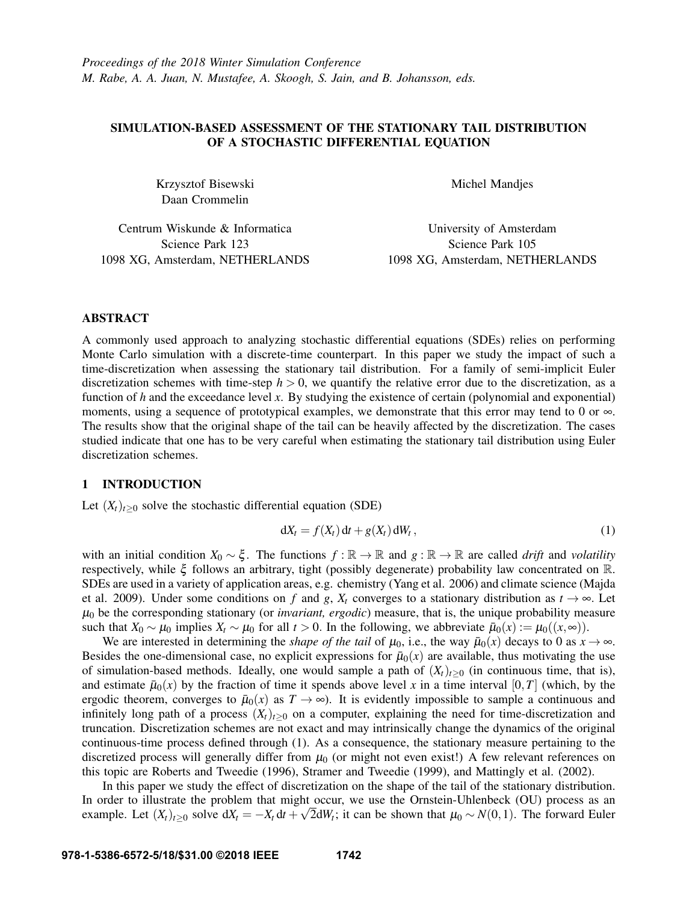# SIMULATION-BASED ASSESSMENT OF THE STATIONARY TAIL DISTRIBUTION OF A STOCHASTIC DIFFERENTIAL EQUATION

Krzysztof Bisewski Daan Crommelin

Michel Mandjes

Centrum Wiskunde & Informatica Science Park 123 1098 XG, Amsterdam, NETHERLANDS

University of Amsterdam Science Park 105 1098 XG, Amsterdam, NETHERLANDS

# ABSTRACT

A commonly used approach to analyzing stochastic differential equations (SDEs) relies on performing Monte Carlo simulation with a discrete-time counterpart. In this paper we study the impact of such a time-discretization when assessing the stationary tail distribution. For a family of semi-implicit Euler discretization schemes with time-step  $h > 0$ , we quantify the relative error due to the discretization, as a function of *h* and the exceedance level *x*. By studying the existence of certain (polynomial and exponential) moments, using a sequence of prototypical examples, we demonstrate that this error may tend to 0 or ∞. The results show that the original shape of the tail can be heavily affected by the discretization. The cases studied indicate that one has to be very careful when estimating the stationary tail distribution using Euler discretization schemes.

## 1 INTRODUCTION

Let  $(X_t)_{t\geq0}$  solve the stochastic differential equation (SDE)

$$
dX_t = f(X_t) dt + g(X_t) dW_t, \qquad (1)
$$

with an initial condition  $X_0 \sim \xi$ . The functions  $f : \mathbb{R} \to \mathbb{R}$  and  $g : \mathbb{R} \to \mathbb{R}$  are called *drift* and *volatility* respectively, while ξ follows an arbitrary, tight (possibly degenerate) probability law concentrated on R. SDEs are used in a variety of application areas, e.g. chemistry (Yang et al. 2006) and climate science (Majda et al. 2009). Under some conditions on *f* and *g*,  $X_t$  converges to a stationary distribution as  $t \to \infty$ . Let  $\mu_0$  be the corresponding stationary (or *invariant, ergodic*) measure, that is, the unique probability measure such that  $X_0 \sim \mu_0$  implies  $X_t \sim \mu_0$  for all  $t > 0$ . In the following, we abbreviate  $\bar{\mu}_0(x) := \mu_0((x, \infty))$ .

We are interested in determining the *shape of the tail* of  $\mu_0$ , i.e., the way  $\bar{\mu}_0(x)$  decays to 0 as  $x \to \infty$ . Besides the one-dimensional case, no explicit expressions for  $\bar{\mu}_0(x)$  are available, thus motivating the use of simulation-based methods. Ideally, one would sample a path of  $(X_t)_{t>0}$  (in continuous time, that is), and estimate  $\bar{\mu}_0(x)$  by the fraction of time it spends above level *x* in a time interval [0,*T*] (which, by the ergodic theorem, converges to  $\bar{\mu}_0(x)$  as  $T \to \infty$ ). It is evidently impossible to sample a continuous and infinitely long path of a process  $(X_t)_{t>0}$  on a computer, explaining the need for time-discretization and truncation. Discretization schemes are not exact and may intrinsically change the dynamics of the original continuous-time process defined through (1). As a consequence, the stationary measure pertaining to the discretized process will generally differ from  $\mu_0$  (or might not even exist!) A few relevant references on this topic are Roberts and Tweedie (1996), Stramer and Tweedie (1999), and Mattingly et al. (2002).

In this paper we study the effect of discretization on the shape of the tail of the stationary distribution. In order to illustrate the problem that might occur, we use the Ornstein-Uhlenbeck (OU) process as an √ example. Let  $(X_t)_{t\geq0}$  solve  $dX_t = -X_t dt + \sqrt{2}dW_t$ ; it can be shown that  $\mu_0 \sim N(0,1)$ . The forward Euler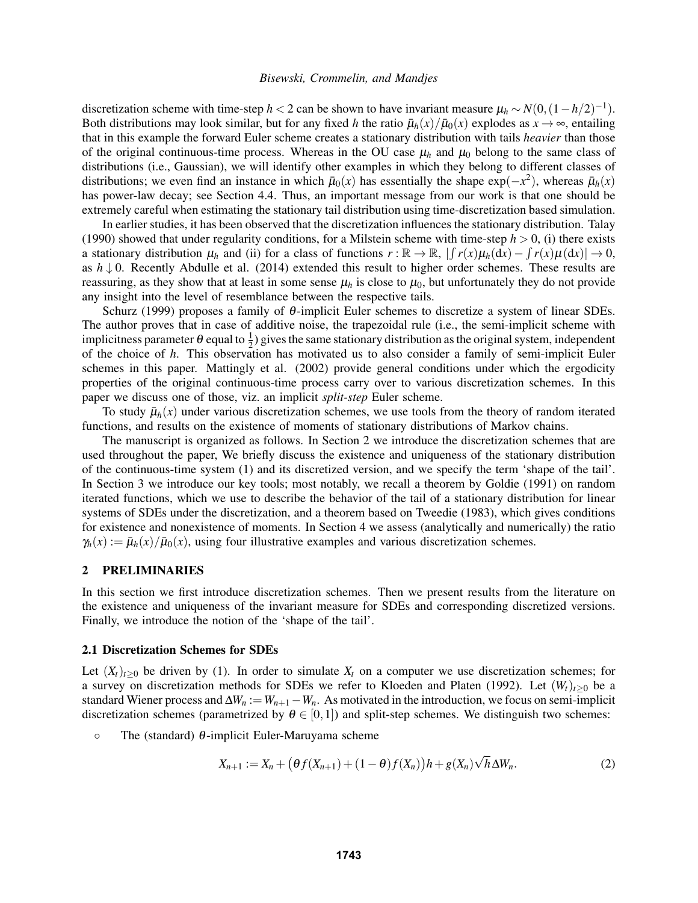discretization scheme with time-step *h* < 2 can be shown to have invariant measure  $\mu_h \sim N(0, (1 - h/2)^{-1})$ . Both distributions may look similar, but for any fixed *h* the ratio  $\bar{\mu}_h(x)/\bar{\mu}_0(x)$  explodes as  $x \to \infty$ , entailing that in this example the forward Euler scheme creates a stationary distribution with tails *heavier* than those of the original continuous-time process. Whereas in the OU case  $\mu_h$  and  $\mu_0$  belong to the same class of distributions (i.e., Gaussian), we will identify other examples in which they belong to different classes of distributions; we even find an instance in which  $\bar{\mu}_0(x)$  has essentially the shape  $\exp(-x^2)$ , whereas  $\bar{\mu}_h(x)$ has power-law decay; see Section 4.4. Thus, an important message from our work is that one should be extremely careful when estimating the stationary tail distribution using time-discretization based simulation.

In earlier studies, it has been observed that the discretization influences the stationary distribution. Talay (1990) showed that under regularity conditions, for a Milstein scheme with time-step  $h > 0$ , (i) there exists a stationary distribution  $\mu_h$  and (ii) for a class of functions  $r : \mathbb{R} \to \mathbb{R}$ ,  $| \int r(x) \mu_h(\mathrm{d}x) - \int r(x) \mu(\mathrm{d}x) | \to 0$ , as  $h \downarrow 0$ . Recently Abdulle et al. (2014) extended this result to higher order schemes. These results are reassuring, as they show that at least in some sense  $\mu_h$  is close to  $\mu_0$ , but unfortunately they do not provide any insight into the level of resemblance between the respective tails.

Schurz (1999) proposes a family of θ-implicit Euler schemes to discretize a system of linear SDEs. The author proves that in case of additive noise, the trapezoidal rule (i.e., the semi-implicit scheme with implicitness parameter  $\theta$  equal to  $\frac{1}{2}$ ) gives the same stationary distribution as the original system, independent of the choice of *h*. This observation has motivated us to also consider a family of semi-implicit Euler schemes in this paper. Mattingly et al. (2002) provide general conditions under which the ergodicity properties of the original continuous-time process carry over to various discretization schemes. In this paper we discuss one of those, viz. an implicit *split-step* Euler scheme.

To study  $\bar{\mu}_h(x)$  under various discretization schemes, we use tools from the theory of random iterated functions, and results on the existence of moments of stationary distributions of Markov chains.

The manuscript is organized as follows. In Section 2 we introduce the discretization schemes that are used throughout the paper, We briefly discuss the existence and uniqueness of the stationary distribution of the continuous-time system (1) and its discretized version, and we specify the term 'shape of the tail'. In Section 3 we introduce our key tools; most notably, we recall a theorem by Goldie (1991) on random iterated functions, which we use to describe the behavior of the tail of a stationary distribution for linear systems of SDEs under the discretization, and a theorem based on Tweedie (1983), which gives conditions for existence and nonexistence of moments. In Section 4 we assess (analytically and numerically) the ratio  $\gamma_h(x) := \bar{\mu}_h(x)/\bar{\mu}_0(x)$ , using four illustrative examples and various discretization schemes.

## 2 PRELIMINARIES

In this section we first introduce discretization schemes. Then we present results from the literature on the existence and uniqueness of the invariant measure for SDEs and corresponding discretized versions. Finally, we introduce the notion of the 'shape of the tail'.

#### 2.1 Discretization Schemes for SDEs

Let  $(X_t)_{t>0}$  be driven by (1). In order to simulate  $X_t$  on a computer we use discretization schemes; for a survey on discretization methods for SDEs we refer to Kloeden and Platen (1992). Let  $(W_t)_{t>0}$  be a standard Wiener process and  $\Delta W_n := W_{n+1} - W_n$ . As motivated in the introduction, we focus on semi-implicit discretization schemes (parametrized by  $\theta \in [0,1]$ ) and split-step schemes. We distinguish two schemes:

 $\circ$  The (standard)  $\theta$ -implicit Euler-Maruyama scheme

$$
X_{n+1} := X_n + (\theta f(X_{n+1}) + (1 - \theta)f(X_n))h + g(X_n)\sqrt{h}\Delta W_n.
$$
 (2)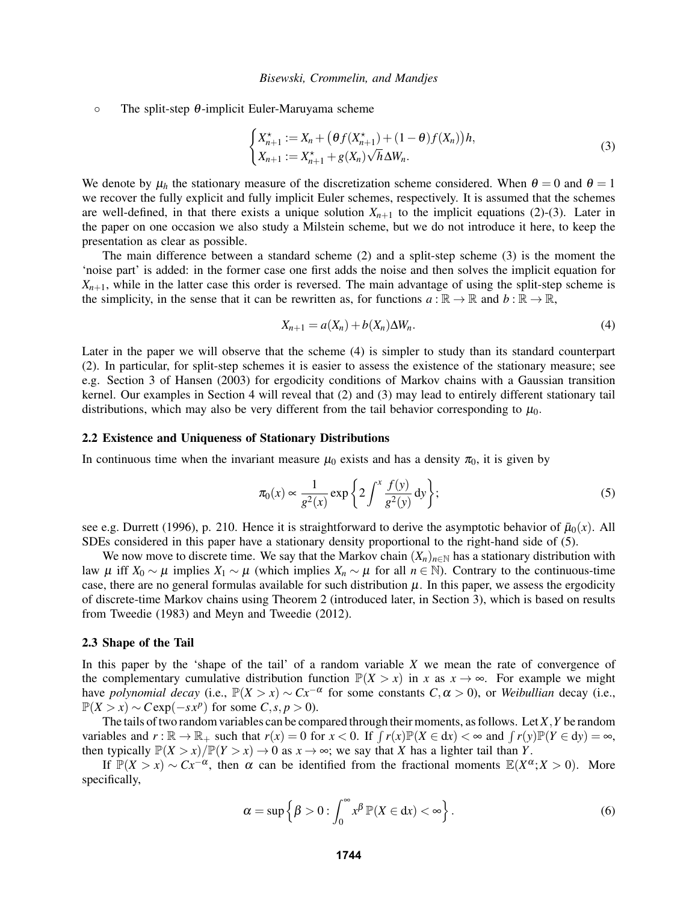$\circ$  The split-step  $\theta$ -implicit Euler-Maruyama scheme

$$
\begin{cases} X_{n+1}^* := X_n + \left( \theta f(X_{n+1}^*) + (1 - \theta)f(X_n) \right) h, \\ X_{n+1} := X_{n+1}^* + g(X_n) \sqrt{h} \Delta W_n. \end{cases} \tag{3}
$$

We denote by  $\mu_h$  the stationary measure of the discretization scheme considered. When  $\theta = 0$  and  $\theta = 1$ we recover the fully explicit and fully implicit Euler schemes, respectively. It is assumed that the schemes are well-defined, in that there exists a unique solution  $X_{n+1}$  to the implicit equations (2)-(3). Later in the paper on one occasion we also study a Milstein scheme, but we do not introduce it here, to keep the presentation as clear as possible.

The main difference between a standard scheme (2) and a split-step scheme (3) is the moment the 'noise part' is added: in the former case one first adds the noise and then solves the implicit equation for  $X_{n+1}$ , while in the latter case this order is reversed. The main advantage of using the split-step scheme is the simplicity, in the sense that it can be rewritten as, for functions  $a : \mathbb{R} \to \mathbb{R}$  and  $b : \mathbb{R} \to \mathbb{R}$ ,

$$
X_{n+1} = a(X_n) + b(X_n)\Delta W_n. \tag{4}
$$

Later in the paper we will observe that the scheme (4) is simpler to study than its standard counterpart (2). In particular, for split-step schemes it is easier to assess the existence of the stationary measure; see e.g. Section 3 of Hansen (2003) for ergodicity conditions of Markov chains with a Gaussian transition kernel. Our examples in Section 4 will reveal that (2) and (3) may lead to entirely different stationary tail distributions, which may also be very different from the tail behavior corresponding to  $\mu_0$ .

### 2.2 Existence and Uniqueness of Stationary Distributions

In continuous time when the invariant measure  $\mu_0$  exists and has a density  $\pi_0$ , it is given by

$$
\pi_0(x) \propto \frac{1}{g^2(x)} \exp\left\{2 \int^x \frac{f(y)}{g^2(y)} dy\right\};\tag{5}
$$

see e.g. Durrett (1996), p. 210. Hence it is straightforward to derive the asymptotic behavior of  $\bar{\mu}_0(x)$ . All SDEs considered in this paper have a stationary density proportional to the right-hand side of (5).

We now move to discrete time. We say that the Markov chain  $(X_n)_{n\in\mathbb{N}}$  has a stationary distribution with law µ iff *X*<sup>0</sup> ∼ µ implies *X*<sup>1</sup> ∼ µ (which implies *X<sup>n</sup>* ∼ µ for all *n* ∈ N). Contrary to the continuous-time case, there are no general formulas available for such distribution  $\mu$ . In this paper, we assess the ergodicity of discrete-time Markov chains using Theorem 2 (introduced later, in Section 3), which is based on results from Tweedie (1983) and Meyn and Tweedie (2012).

#### 2.3 Shape of the Tail

In this paper by the 'shape of the tail' of a random variable *X* we mean the rate of convergence of the complementary cumulative distribution function  $\mathbb{P}(X > x)$  in *x* as  $x \to \infty$ . For example we might have *polynomial decay* (i.e.,  $\mathbb{P}(X > x) \sim Cx^{-\alpha}$  for some constants  $C, \alpha > 0$ ), or *Weibullian* decay (i.e.,  $\mathbb{P}(X > x) \sim C \exp(-sx^p)$  for some  $C, s, p > 0$ ).

The tails of two random variables can be compared through their moments, as follows. Let *X*,*Y* be random variables and  $r : \mathbb{R} \to \mathbb{R}_+$  such that  $r(x) = 0$  for  $x < 0$ . If  $\int r(x) \mathbb{P}(X \in dx) < \infty$  and  $\int r(y) \mathbb{P}(Y \in dy) = \infty$ , then typically  $\mathbb{P}(X > x)/\mathbb{P}(Y > x) \to 0$  as  $x \to \infty$ ; we say that *X* has a lighter tail than *Y*.

If  $\mathbb{P}(X > x) \sim Cx^{-\alpha}$ , then  $\alpha$  can be identified from the fractional moments  $\mathbb{E}(X^{\alpha}; X > 0)$ . More specifically,

$$
\alpha = \sup \left\{ \beta > 0 : \int_0^\infty x^\beta \, \mathbb{P}(X \in \mathrm{d}x) < \infty \right\}. \tag{6}
$$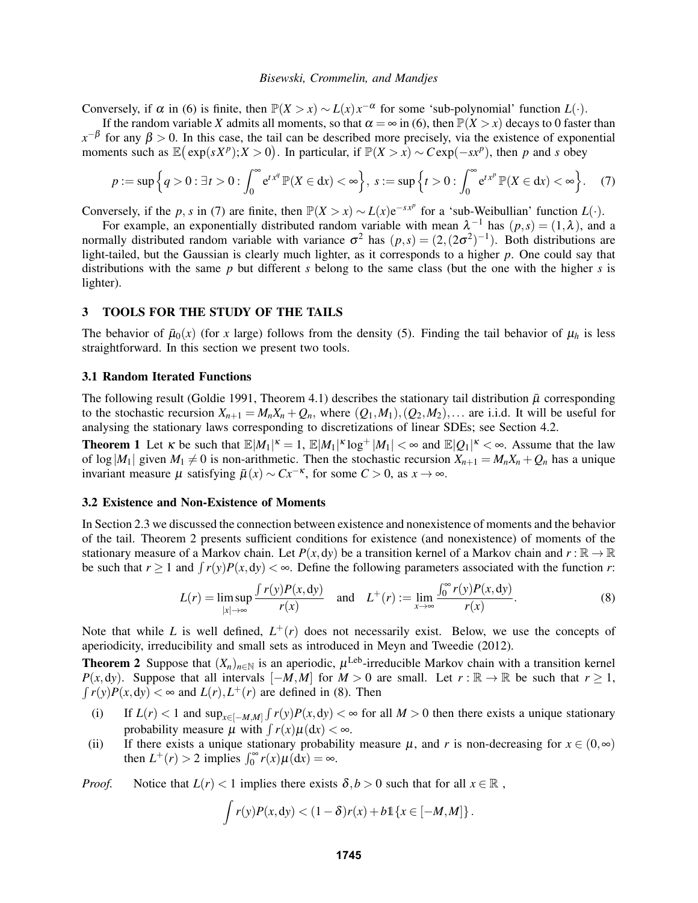Conversely, if  $\alpha$  in (6) is finite, then  $\mathbb{P}(X > x) \sim L(x)x^{-\alpha}$  for some 'sub-polynomial' function  $L(\cdot)$ .

If the random variable *X* admits all moments, so that  $\alpha = \infty$  in (6), then  $\mathbb{P}(X > x)$  decays to 0 faster than  $x^{-\beta}$  for any  $\beta > 0$ . In this case, the tail can be described more precisely, via the existence of exponential moments such as  $\mathbb{E}(\exp(sX^p); X > 0)$ . In particular, if  $\mathbb{P}(X > x) \sim C \exp(-sx^p)$ , then *p* and *s* obey

$$
p := \sup \Big\{ q > 0 : \exists t > 0 : \int_0^\infty e^{t x^q} \mathbb{P}(X \in dx) < \infty \Big\}, \ s := \sup \Big\{ t > 0 : \int_0^\infty e^{t x^p} \mathbb{P}(X \in dx) < \infty \Big\}.\tag{7}
$$

Conversely, if the *p*, *s* in (7) are finite, then  $\mathbb{P}(X > x) \sim L(x)e^{-sx^p}$  for a 'sub-Weibullian' function  $L(\cdot)$ .

For example, an exponentially distributed random variable with mean  $\lambda^{-1}$  has  $(p,s) = (1,\lambda)$ , and a normally distributed random variable with variance  $\sigma^2$  has  $(p,s) = (2,(2\sigma^2)^{-1})$ . Both distributions are light-tailed, but the Gaussian is clearly much lighter, as it corresponds to a higher *p*. One could say that distributions with the same *p* but different *s* belong to the same class (but the one with the higher *s* is lighter).

### 3 TOOLS FOR THE STUDY OF THE TAILS

The behavior of  $\bar{\mu}_0(x)$  (for *x* large) follows from the density (5). Finding the tail behavior of  $\mu_h$  is less straightforward. In this section we present two tools.

## 3.1 Random Iterated Functions

The following result (Goldie 1991, Theorem 4.1) describes the stationary tail distribution  $\bar{\mu}$  corresponding to the stochastic recursion  $X_{n+1} = M_n X_n + Q_n$ , where  $(Q_1, M_1), (Q_2, M_2), \ldots$  are i.i.d. It will be useful for analysing the stationary laws corresponding to discretizations of linear SDEs; see Section 4.2.

**Theorem 1** Let  $\kappa$  be such that  $\mathbb{E}|M_1|^{\kappa} = 1$ ,  $\mathbb{E}|M_1|^{\kappa} \log^+ |M_1| < \infty$  and  $\mathbb{E}|Q_1|^{\kappa} < \infty$ . Assume that the law of  $\log|M_1|$  given  $M_1 \neq 0$  is non-arithmetic. Then the stochastic recursion  $X_{n+1} = M_n X_n + Q_n$  has a unique invariant measure  $\mu$  satisfying  $\bar{\mu}(x) \sim Cx^{-\kappa}$ , for some  $C > 0$ , as  $x \to \infty$ .

### 3.2 Existence and Non-Existence of Moments

In Section 2.3 we discussed the connection between existence and nonexistence of moments and the behavior of the tail. Theorem 2 presents sufficient conditions for existence (and nonexistence) of moments of the stationary measure of a Markov chain. Let  $P(x,dy)$  be a transition kernel of a Markov chain and  $r : \mathbb{R} \to \mathbb{R}$ be such that  $r \ge 1$  and  $\int r(y)P(x, dy) < \infty$ . Define the following parameters associated with the function *r*:

$$
L(r) = \limsup_{|x| \to \infty} \frac{\int r(y)P(x,dy)}{r(x)} \quad \text{and} \quad L^+(r) := \lim_{x \to \infty} \frac{\int_0^\infty r(y)P(x,dy)}{r(x)}.
$$
 (8)

Note that while *L* is well defined,  $L^+(r)$  does not necessarily exist. Below, we use the concepts of aperiodicity, irreducibility and small sets as introduced in Meyn and Tweedie (2012).

**Theorem 2** Suppose that  $(X_n)_{n \in \mathbb{N}}$  is an aperiodic,  $\mu^{\text{Leb}}$ -irreducible Markov chain with a transition kernel *P*(*x*,d*y*). Suppose that all intervals  $[-M, M]$  for  $M > 0$  are small. Let  $r : \mathbb{R} \to \mathbb{R}$  be such that  $r \ge 1$ ,  $\int r(y)P(x, dy) < \infty$  and  $L(r)$ ,  $L^+(r)$  are defined in (8). Then

- (i) If  $L(r) < 1$  and  $\sup_{x \in [-M,M]} \int r(y)P(x,dy) < \infty$  for all  $M > 0$  then there exists a unique stationary probability measure  $\mu$  with  $\int r(x)\mu(dx) < \infty$ .
- (ii) If there exists a unique stationary probability measure  $\mu$ , and *r* is non-decreasing for  $x \in (0, \infty)$ then  $L^+(r) > 2$  implies  $\int_0^\infty r(x) \mu(dx) = \infty$ .

*Proof.* Notice that  $L(r) < 1$  implies there exists  $\delta, b > 0$  such that for all  $x \in \mathbb{R}$ ,

$$
\int r(y)P(x,dy) < (1-\delta)r(x)+b\mathbb{1}\left\{x\in[-M,M]\right\}.
$$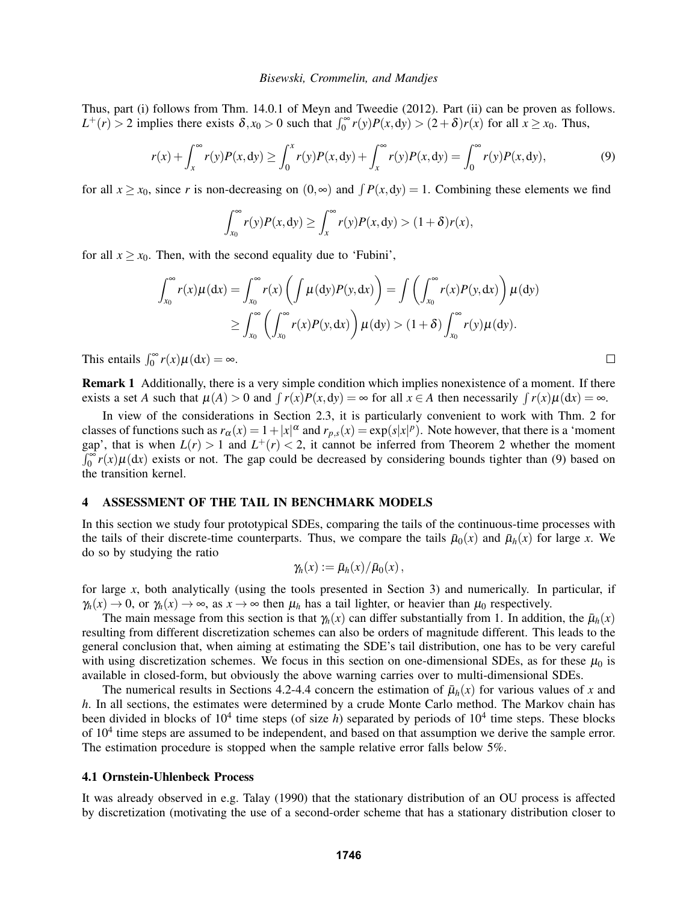Thus, part (i) follows from Thm. 14.0.1 of Meyn and Tweedie (2012). Part (ii) can be proven as follows.  $L^+(r) > 2$  implies there exists  $\delta, x_0 > 0$  such that  $\int_0^\infty r(y)P(x, dy) > (2 + \delta)r(x)$  for all  $x \ge x_0$ . Thus,

$$
r(x) + \int_{x}^{\infty} r(y)P(x, dy) \ge \int_{0}^{x} r(y)P(x, dy) + \int_{x}^{\infty} r(y)P(x, dy) = \int_{0}^{\infty} r(y)P(x, dy),
$$
 (9)

for all  $x \ge x_0$ , since *r* is non-decreasing on  $(0, \infty)$  and  $\int P(x, dy) = 1$ . Combining these elements we find

$$
\int_{x_0}^{\infty} r(y)P(x,dy) \geq \int_{x}^{\infty} r(y)P(x,dy) > (1+\delta)r(x),
$$

for all  $x \ge x_0$ . Then, with the second equality due to 'Fubini',

$$
\int_{x_0}^{\infty} r(x) \mu(dx) = \int_{x_0}^{\infty} r(x) \left( \int \mu(dy) P(y, dx) \right) = \int \left( \int_{x_0}^{\infty} r(x) P(y, dx) \right) \mu(dy)
$$

$$
\geq \int_{x_0}^{\infty} \left( \int_{x_0}^{\infty} r(x) P(y, dx) \right) \mu(dy) > (1 + \delta) \int_{x_0}^{\infty} r(y) \mu(dy).
$$

 $\Box$ 

This entails  $\int_0^\infty r(x) \mu(dx) = \infty$ .

Remark 1 Additionally, there is a very simple condition which implies nonexistence of a moment. If there exists a set *A* such that  $\mu(A) > 0$  and  $\int r(x)P(x, dy) = \infty$  for all  $x \in A$  then necessarily  $\int r(x)\mu(dx) = \infty$ .

In view of the considerations in Section 2.3, it is particularly convenient to work with Thm. 2 for classes of functions such as  $r_\alpha(x) = 1 + |x|^\alpha$  and  $r_{p,s}(x) = \exp(s|x|^p)$ . Note however, that there is a 'moment gap', that is when  $L(r) > 1$  and  $L^+(r) < 2$ , it cannot be inferred from Theorem 2 whether the moment  $\int_0^{\infty} r(x) \mu(dx)$  exists or not. The gap could be decreased by considering bounds tighter than (9) based on the transition kernel.

## 4 ASSESSMENT OF THE TAIL IN BENCHMARK MODELS

In this section we study four prototypical SDEs, comparing the tails of the continuous-time processes with the tails of their discrete-time counterparts. Thus, we compare the tails  $\bar{\mu}_0(x)$  and  $\bar{\mu}_h(x)$  for large *x*. We do so by studying the ratio

$$
\gamma_h(x) := \bar{\mu}_h(x)/\bar{\mu}_0(x)\,,
$$

for large *x*, both analytically (using the tools presented in Section 3) and numerically. In particular, if  $\gamma_h(x) \to 0$ , or  $\gamma_h(x) \to \infty$ , as  $x \to \infty$  then  $\mu_h$  has a tail lighter, or heavier than  $\mu_0$  respectively.

The main message from this section is that  $\gamma_h(x)$  can differ substantially from 1. In addition, the  $\bar{\mu}_h(x)$ resulting from different discretization schemes can also be orders of magnitude different. This leads to the general conclusion that, when aiming at estimating the SDE's tail distribution, one has to be very careful with using discretization schemes. We focus in this section on one-dimensional SDEs, as for these  $\mu_0$  is available in closed-form, but obviously the above warning carries over to multi-dimensional SDEs.

The numerical results in Sections 4.2-4.4 concern the estimation of  $\bar{\mu}_h(x)$  for various values of *x* and *h*. In all sections, the estimates were determined by a crude Monte Carlo method. The Markov chain has been divided in blocks of  $10^4$  time steps (of size *h*) separated by periods of  $10^4$  time steps. These blocks of  $10<sup>4</sup>$  time steps are assumed to be independent, and based on that assumption we derive the sample error. The estimation procedure is stopped when the sample relative error falls below 5%.

### 4.1 Ornstein-Uhlenbeck Process

It was already observed in e.g. Talay (1990) that the stationary distribution of an OU process is affected by discretization (motivating the use of a second-order scheme that has a stationary distribution closer to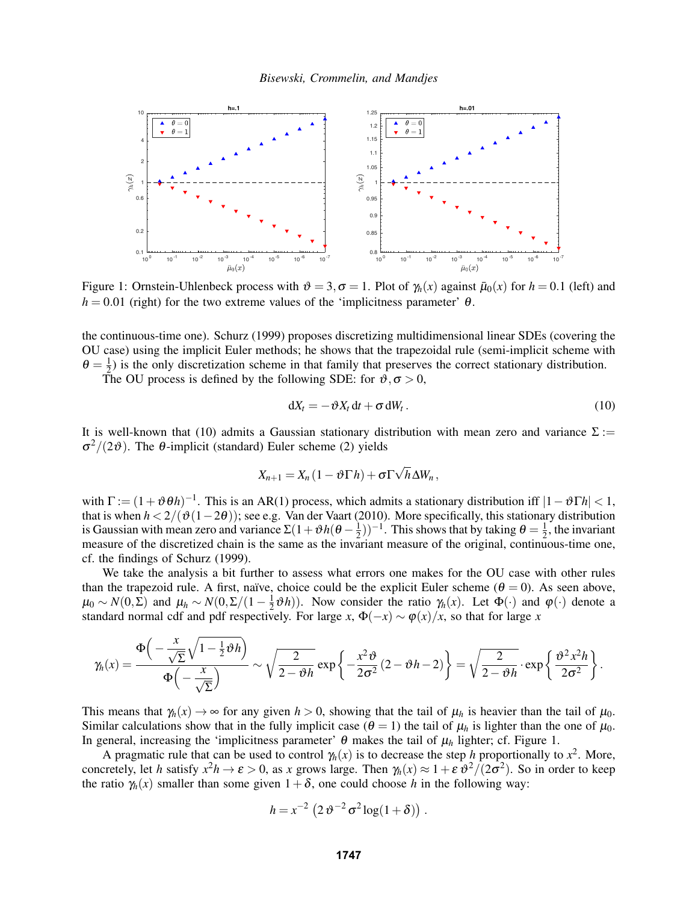

Figure 1: Ornstein-Uhlenbeck process with  $\vartheta = 3, \sigma = 1$ . Plot of  $\gamma_h(x)$  against  $\bar{\mu}_0(x)$  for  $h = 0.1$  (left) and  $h = 0.01$  (right) for the two extreme values of the 'implicitness parameter'  $\theta$ .

the continuous-time one). Schurz (1999) proposes discretizing multidimensional linear SDEs (covering the OU case) using the implicit Euler methods; he shows that the trapezoidal rule (semi-implicit scheme with  $\theta=\frac{1}{2}$  $\frac{1}{2}$ ) is the only discretization scheme in that family that preserves the correct stationary distribution.

The OU process is defined by the following SDE: for  $\vartheta, \sigma > 0$ ,

$$
dX_t = -\vartheta X_t dt + \sigma dW_t. \tag{10}
$$

It is well-known that (10) admits a Gaussian stationary distribution with mean zero and variance  $\Sigma$  :=  $\sigma^2/(2\vartheta)$ . The  $\theta$ -implicit (standard) Euler scheme (2) yields

$$
X_{n+1} = X_n (1 - \vartheta \Gamma h) + \sigma \Gamma \sqrt{h} \Delta W_n,
$$

with  $\Gamma := (1 + \vartheta \theta h)^{-1}$ . This is an AR(1) process, which admits a stationary distribution iff  $|1 - \vartheta \Gamma h| < 1$ , that is when *h* < 2/(ϑ(1−2θ)); see e.g. Van der Vaart (2010). More specifically, this stationary distribution is Gaussian with mean zero and variance  $\Sigma(1+\vartheta h(\theta-\frac{1}{2}))$  $(\frac{1}{2}))^{-1}$ . This shows that by taking  $\theta = \frac{1}{2}$  $\frac{1}{2}$ , the invariant measure of the discretized chain is the same as the invariant measure of the original, continuous-time one, cf. the findings of Schurz (1999).

We take the analysis a bit further to assess what errors one makes for the OU case with other rules than the trapezoid rule. A first, naïve, choice could be the explicit Euler scheme ( $\theta = 0$ ). As seen above,  $\mu_0 \sim N(0,\bar{\Sigma})$  and  $\mu_h \sim N(0,\Sigma/(1-\frac{1}{2}))$  $(\frac{1}{2}\theta h)$ ). Now consider the ratio  $\gamma_h(x)$ . Let  $\Phi(\cdot)$  and  $\varphi(\cdot)$  denote a standard normal cdf and pdf respectively. For large *x*,  $\Phi(-x) \sim \varphi(x)/x$ , so that for large *x* 

$$
\gamma_h(x) = \frac{\Phi\left(-\frac{x}{\sqrt{\Sigma}}\sqrt{1-\frac{1}{2}\vartheta h}\right)}{\Phi\left(-\frac{x}{\sqrt{\Sigma}}\right)} \sim \sqrt{\frac{2}{2-\vartheta h}} \exp\left\{-\frac{x^2\vartheta}{2\sigma^2}(2-\vartheta h-2)\right\} = \sqrt{\frac{2}{2-\vartheta h}} \cdot \exp\left\{\frac{\vartheta^2 x^2 h}{2\sigma^2}\right\}.
$$

This means that  $\gamma_h(x) \to \infty$  for any given  $h > 0$ , showing that the tail of  $\mu_h$  is heavier than the tail of  $\mu_0$ . Similar calculations show that in the fully implicit case  $(\theta = 1)$  the tail of  $\mu_h$  is lighter than the one of  $\mu_0$ . In general, increasing the 'implicitness parameter' θ makes the tail of µ*<sup>h</sup>* lighter; cf. Figure 1.

A pragmatic rule that can be used to control  $\gamma_h(x)$  is to decrease the step *h* proportionally to  $x^2$ . More, concretely, let *h* satisfy  $x^2h \to \varepsilon > 0$ , as *x* grows large. Then  $\gamma_h(x) \approx 1 + \varepsilon \frac{\partial^2}{\partial \sigma^2}$ . So in order to keep the ratio  $\gamma_h(x)$  smaller than some given  $1+\delta$ , one could choose *h* in the following way:

$$
h = x^{-2} \left( 2 \vartheta^{-2} \sigma^2 \log(1+\delta) \right).
$$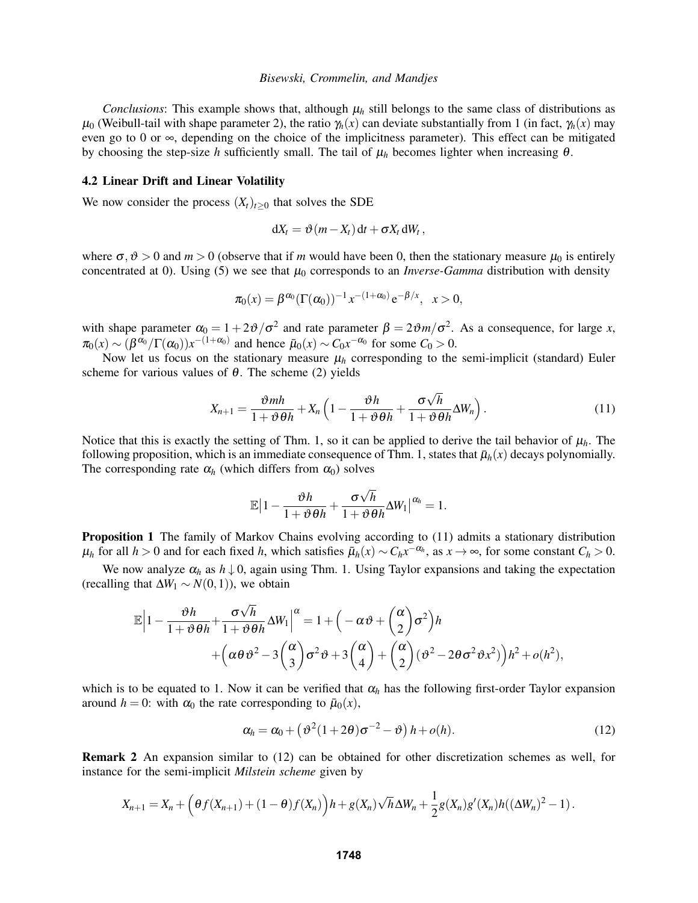*Conclusions*: This example shows that, although  $\mu_h$  still belongs to the same class of distributions as  $\mu_0$  (Weibull-tail with shape parameter 2), the ratio  $\gamma_h(x)$  can deviate substantially from 1 (in fact,  $\gamma_h(x)$  may even go to 0 or ∞, depending on the choice of the implicitness parameter). This effect can be mitigated by choosing the step-size *h* sufficiently small. The tail of  $\mu_h$  becomes lighter when increasing  $\theta$ .

### 4.2 Linear Drift and Linear Volatility

We now consider the process  $(X_t)_{t>0}$  that solves the SDE

$$
dX_t = \vartheta(m - X_t) dt + \sigma X_t dW_t,
$$

where  $\sigma, \vartheta > 0$  and  $m > 0$  (observe that if *m* would have been 0, then the stationary measure  $\mu_0$  is entirely concentrated at 0). Using (5) we see that  $\mu_0$  corresponds to an *Inverse-Gamma* distribution with density

$$
\pi_0(x) = \beta^{\alpha_0} (\Gamma(\alpha_0))^{-1} x^{-(1+\alpha_0)} e^{-\beta/x}, \quad x > 0,
$$

with shape parameter  $\alpha_0 = 1 + 2\vartheta/\sigma^2$  and rate parameter  $\beta = 2\vartheta m/\sigma^2$ . As a consequence, for large *x*,  $\pi_0(x) \sim (\beta^{\alpha_0}/\Gamma(\alpha_0))x^{-(1+\alpha_0)}$  and hence  $\bar{\mu}_0(x) \sim C_0x^{-\alpha_0}$  for some  $C_0 > 0$ .

Now let us focus on the stationary measure  $\mu_h$  corresponding to the semi-implicit (standard) Euler scheme for various values of  $\theta$ . The scheme (2) yields

$$
X_{n+1} = \frac{\vartheta m h}{1 + \vartheta \theta h} + X_n \left( 1 - \frac{\vartheta h}{1 + \vartheta \theta h} + \frac{\sigma \sqrt{h}}{1 + \vartheta \theta h} \Delta W_n \right). \tag{11}
$$

Notice that this is exactly the setting of Thm. 1, so it can be applied to derive the tail behavior of  $\mu_h$ . The following proposition, which is an immediate consequence of Thm. 1, states that  $\bar{\mu}_h(x)$  decays polynomially. The corresponding rate  $\alpha_h$  (which differs from  $\alpha_0$ ) solves

$$
\mathbb{E}\big|1-\frac{\vartheta h}{1+\vartheta\theta h}+\frac{\sigma\sqrt{h}}{1+\vartheta\theta h}\Delta W_1\big|^{\alpha_h}=1.
$$

Proposition 1 The family of Markov Chains evolving according to (11) admits a stationary distribution  $\mu_h$  for all  $h > 0$  and for each fixed *h*, which satisfies  $\bar{\mu}_h(x) \sim C_h x^{-\alpha_h}$ , as  $x \to \infty$ , for some constant  $C_h > 0$ .

We now analyze  $\alpha_h$  as  $h \downarrow 0$ , again using Thm. 1. Using Taylor expansions and taking the expectation (recalling that  $\Delta W_1 \sim N(0,1)$ ), we obtain

$$
\mathbb{E}\left|1-\frac{\vartheta h}{1+\vartheta\theta h}+\frac{\sigma\sqrt{h}}{1+\vartheta\theta h}\Delta W_{1}\right|^{\alpha}=1+\left(-\alpha\vartheta+\binom{\alpha}{2}\sigma^{2}\right)h+\left(\alpha\theta\vartheta^{2}-3\binom{\alpha}{3}\sigma^{2}\vartheta+3\binom{\alpha}{4}+\binom{\alpha}{2}\left(\vartheta^{2}-2\theta\sigma^{2}\vartheta x^{2}\right)\right)h^{2}+o(h^{2}),
$$

which is to be equated to 1. Now it can be verified that  $\alpha_h$  has the following first-order Taylor expansion around  $h = 0$ : with  $\alpha_0$  the rate corresponding to  $\bar{\mu}_0(x)$ ,

$$
\alpha_h = \alpha_0 + \left(\vartheta^2(1+2\theta)\sigma^{-2} - \vartheta\right)h + o(h). \tag{12}
$$

Remark 2 An expansion similar to (12) can be obtained for other discretization schemes as well, for instance for the semi-implicit *Milstein scheme* given by

$$
X_{n+1} = X_n + \left(\theta f(X_{n+1}) + (1-\theta)f(X_n)\right)h + g(X_n)\sqrt{h}\Delta W_n + \frac{1}{2}g(X_n)g'(X_n)h((\Delta W_n)^2 - 1).
$$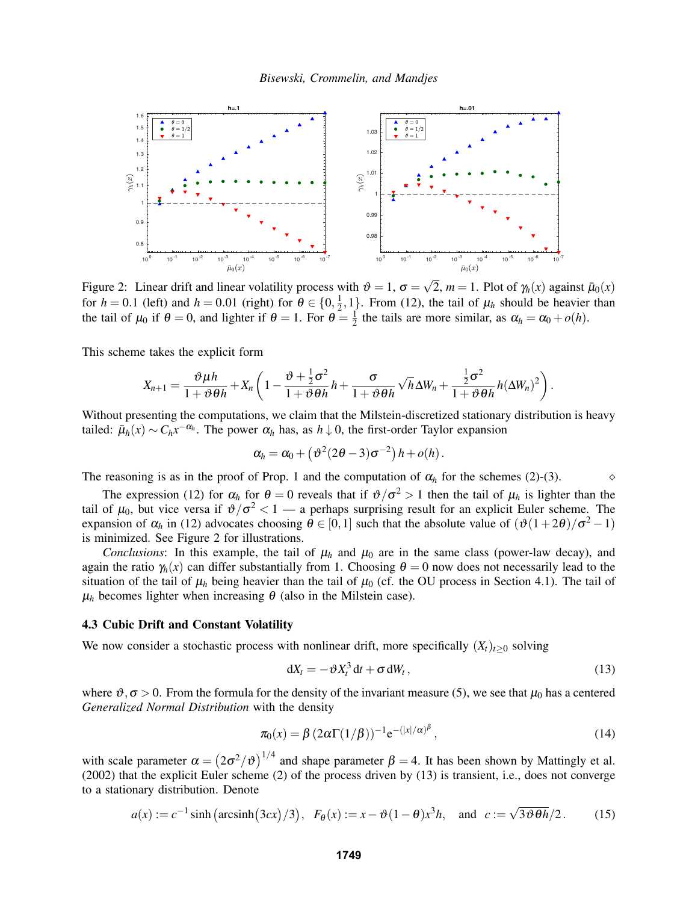

Figure 2: Linear drift and linear volatility process with  $\vartheta = 1$ ,  $\sigma =$ 2, *m* = 1. Plot of  $\gamma_h(x)$  against  $\bar{\mu}_0(x)$ for  $h = 0.1$  (left) and  $h = 0.01$  (right) for  $\theta \in \{0, \frac{1}{2}\}$  $\frac{1}{2}$ , 1<sup>1</sup>. From (12), the tail of  $\mu_h$  should be heavier than the tail of  $\mu_0$  if  $\theta = 0$ , and lighter if  $\theta = 1$ . For  $\theta = \frac{1}{2}$  $\frac{1}{2}$  the tails are more similar, as  $\alpha_h = \alpha_0 + o(h)$ .

This scheme takes the explicit form

$$
X_{n+1} = \frac{\vartheta \mu h}{1 + \vartheta \theta h} + X_n \left( 1 - \frac{\vartheta + \frac{1}{2}\sigma^2}{1 + \vartheta \theta h} h + \frac{\sigma}{1 + \vartheta \theta h} \sqrt{h} \Delta W_n + \frac{\frac{1}{2}\sigma^2}{1 + \vartheta \theta h} h (\Delta W_n)^2 \right).
$$

Without presenting the computations, we claim that the Milstein-discretized stationary distribution is heavy tailed:  $\bar{\mu}_h(x) \sim C_h x^{-\alpha_h}$ . The power  $\alpha_h$  has, as  $h \downarrow 0$ , the first-order Taylor expansion

$$
\alpha_h = \alpha_0 + \left(\vartheta^2(2\theta-3)\sigma^{-2}\right)h + o(h).
$$

The reasoning is as in the proof of Prop. 1 and the computation of  $\alpha_h$  for the schemes (2)-(3).

The expression (12) for  $\alpha_h$  for  $\theta = 0$  reveals that if  $\vartheta / \sigma^2 > 1$  then the tail of  $\mu_h$  is lighter than the tail of  $\mu_0$ , but vice versa if  $\vartheta/\sigma^2 < 1$  — a perhaps surprising result for an explicit Euler scheme. The expansion of  $\alpha_h$  in (12) advocates choosing  $\theta \in [0,1]$  such that the absolute value of  $(\vartheta(1+2\theta)/\sigma^2-1)$ is minimized. See Figure 2 for illustrations.

*Conclusions*: In this example, the tail of  $\mu_h$  and  $\mu_0$  are in the same class (power-law decay), and again the ratio  $\gamma_h(x)$  can differ substantially from 1. Choosing  $\theta = 0$  now does not necessarily lead to the situation of the tail of  $\mu_h$  being heavier than the tail of  $\mu_0$  (cf. the OU process in Section 4.1). The tail of  $\mu_h$  becomes lighter when increasing  $\theta$  (also in the Milstein case).

### 4.3 Cubic Drift and Constant Volatility

We now consider a stochastic process with nonlinear drift, more specifically  $(X_t)_{t>0}$  solving

$$
dX_t = -\vartheta X_t^3 dt + \sigma dW_t, \qquad (13)
$$

where  $\vartheta, \sigma > 0$ . From the formula for the density of the invariant measure (5), we see that  $\mu_0$  has a centered *Generalized Normal Distribution* with the density

$$
\pi_0(x) = \beta \left(2\alpha \Gamma(1/\beta)\right)^{-1} e^{-(|x|/\alpha)^{\beta}},\tag{14}
$$

with scale parameter  $\alpha = (2\sigma^2/\vartheta)^{1/4}$  and shape parameter  $\beta = 4$ . It has been shown by Mattingly et al. (2002) that the explicit Euler scheme (2) of the process driven by (13) is transient, i.e., does not converge to a stationary distribution. Denote

$$
a(x) := c^{-1} \sinh\left(\arcsin\left(\frac{3cx}{3}\right)/3\right), \quad F_{\theta}(x) := x - \vartheta(1 - \theta)x^3h, \quad \text{and} \quad c := \sqrt{3\vartheta\theta h}/2. \tag{15}
$$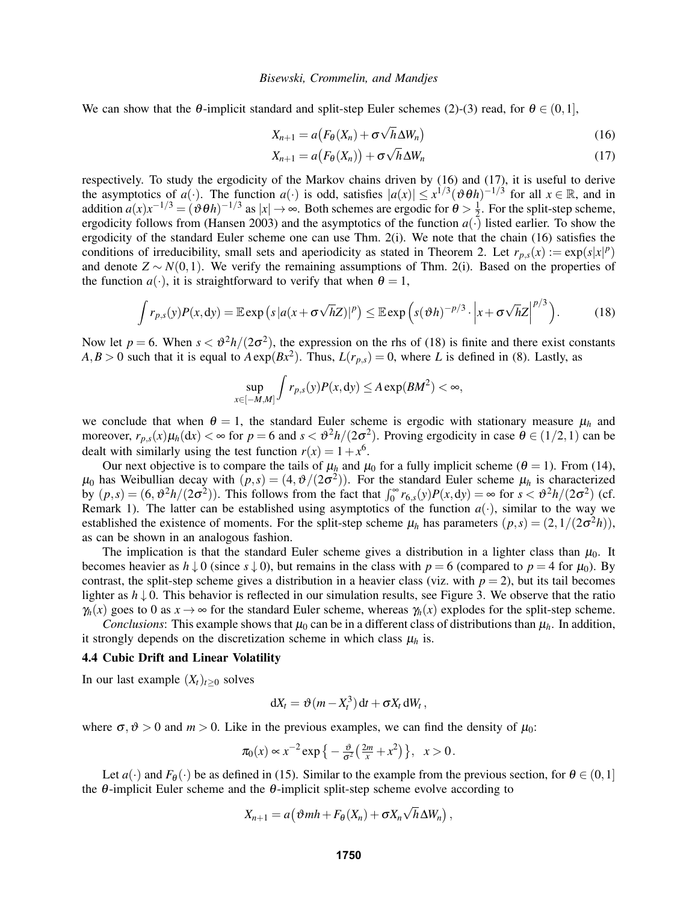We can show that the  $\theta$ -implicit standard and split-step Euler schemes (2)-(3) read, for  $\theta \in (0,1]$ ,

$$
X_{n+1} = a \big( F_{\theta}(X_n) + \sigma \sqrt{h} \Delta W_n \big) \tag{16}
$$

$$
X_{n+1} = a(F_{\theta}(X_n)) + \sigma \sqrt{h} \Delta W_n
$$
\n(17)

respectively. To study the ergodicity of the Markov chains driven by (16) and (17), it is useful to derive the asymptotics of *a*(·). The function *a*(·) is odd, satisfies  $|a(x)| \le x^{1/3} (\vartheta \theta h)^{-1/3}$  for all  $x \in \mathbb{R}$ , and in addition  $a(x)x^{-1/3} = (\vartheta \theta h)^{-1/3}$  as  $|x| \to \infty$ . Both schemes are ergodic for  $\theta > \frac{1}{2}$  $\frac{1}{2}$ . For the split-step scheme, ergodicity follows from (Hansen 2003) and the asymptotics of the function  $a(\cdot)$  listed earlier. To show the ergodicity of the standard Euler scheme one can use Thm. 2(i). We note that the chain (16) satisfies the conditions of irreducibility, small sets and aperiodicity as stated in Theorem 2. Let  $r_{p,s}(x) := \exp(s|x|^p)$ and denote  $Z \sim N(0,1)$ . We verify the remaining assumptions of Thm. 2(i). Based on the properties of the function  $a(\cdot)$ , it is straightforward to verify that when  $\theta = 1$ ,

$$
\int r_{p,s}(y)P(x,\mathrm{d}y)=\mathbb{E}\exp\left(s\left|a(x+\sigma\sqrt{h}Z)\right|^p\right)\leq\mathbb{E}\exp\left(s(\vartheta h)^{-p/3}\cdot\left|x+\sigma\sqrt{h}Z\right|^{p/3}\right).
$$
 (18)

Now let  $p = 6$ . When  $s < \theta^2 h/(2\sigma^2)$ , the expression on the rhs of (18) is finite and there exist constants  $A, B > 0$  such that it is equal to  $A \exp(Bx^2)$ . Thus,  $L(r_{p,s}) = 0$ , where *L* is defined in (8). Lastly, as

$$
\sup_{x \in [-M,M]} \int r_{p,s}(y) P(x,dy) \le A \exp(BM^2) < \infty,
$$

we conclude that when  $\theta = 1$ , the standard Euler scheme is ergodic with stationary measure  $\mu_h$  and moreover,  $r_{p,s}(x)\mu_h(\mathrm{d}x) < \infty$  for  $p = 6$  and  $s < \vartheta^2 h/(2\sigma^2)$ . Proving ergodicity in case  $\theta \in (1/2, 1)$  can be dealt with similarly using the test function  $r(x) = 1 + x^6$ .

Our next objective is to compare the tails of  $\mu_h$  and  $\mu_0$  for a fully implicit scheme ( $\theta = 1$ ). From (14),  $\mu_0$  has Weibullian decay with  $(p,s) = (4, \vartheta/(2\sigma^2))$ . For the standard Euler scheme  $\mu_h$  is characterized by  $(p,s) = (6, \theta^2 h/(2\sigma^2))$ . This follows from the fact that  $\int_0^\infty r_{6,s}(y)P(x,dy) = \infty$  for  $s < \theta^2 h/(2\sigma^2)$  (cf. Remark 1). The latter can be established using asymptotics of the function  $a(\cdot)$ , similar to the way we established the existence of moments. For the split-step scheme  $\mu_h$  has parameters  $(p, s) = (2, 1/(2\sigma^2 h))$ , as can be shown in an analogous fashion.

The implication is that the standard Euler scheme gives a distribution in a lighter class than  $\mu_0$ . It becomes heavier as  $h \downarrow 0$  (since  $s \downarrow 0$ ), but remains in the class with  $p = 6$  (compared to  $p = 4$  for  $\mu_0$ ). By contrast, the split-step scheme gives a distribution in a heavier class (viz. with  $p = 2$ ), but its tail becomes lighter as  $h \downarrow 0$ . This behavior is reflected in our simulation results, see Figure 3. We observe that the ratio  $\gamma_h(x)$  goes to 0 as  $x \to \infty$  for the standard Euler scheme, whereas  $\gamma_h(x)$  explodes for the split-step scheme.

*Conclusions*: This example shows that  $\mu_0$  can be in a different class of distributions than  $\mu_h$ . In addition, it strongly depends on the discretization scheme in which class  $\mu_h$  is.

### 4.4 Cubic Drift and Linear Volatility

In our last example  $(X_t)_{t>0}$  solves

$$
dX_t = \vartheta(m - X_t^3) dt + \sigma X_t dW_t,
$$

where  $\sigma, \vartheta > 0$  and  $m > 0$ . Like in the previous examples, we can find the density of  $\mu_0$ :

$$
\pi_0(x) \propto x^{-2} \exp\left\{-\frac{\vartheta}{\sigma^2} \left(\frac{2m}{x} + x^2\right)\right\}, \quad x > 0.
$$

Let  $a(\cdot)$  and  $F_{\theta}(\cdot)$  be as defined in (15). Similar to the example from the previous section, for  $\theta \in (0,1]$ the  $\theta$ -implicit Euler scheme and the  $\theta$ -implicit split-step scheme evolve according to

$$
X_{n+1}=a(\vartheta m h+F_{\theta}(X_n)+\sigma X_n\sqrt{h}\Delta W_n),
$$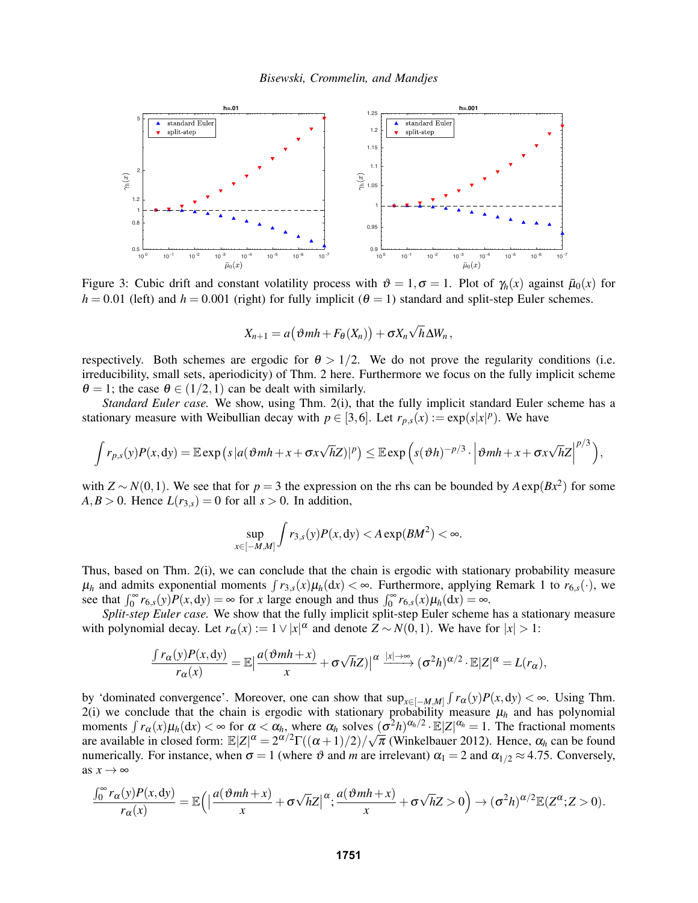

Figure 3: Cubic drift and constant volatility process with  $\vartheta = 1, \sigma = 1$ . Plot of  $\gamma_h(x)$  against  $\bar{\mu}_0(x)$  for  $h = 0.01$  (left) and  $h = 0.001$  (right) for fully implicit ( $\theta = 1$ ) standard and split-step Euler schemes.

$$
X_{n+1} = a(\vartheta m h + F_{\theta}(X_n)) + \sigma X_n \sqrt{h} \Delta W_n,
$$

respectively. Both schemes are ergodic for  $\theta > 1/2$ . We do not prove the regularity conditions (i.e. irreducibility, small sets, aperiodicity) of Thm. 2 here. Furthermore we focus on the fully implicit scheme  $\theta = 1$ ; the case  $\theta \in (1/2, 1)$  can be dealt with similarly.

*Standard Euler case.* We show, using Thm. 2(i), that the fully implicit standard Euler scheme has a stationary measure with Weibullian decay with  $p \in [3, 6]$ . Let  $r_{p,s}(x) := \exp(s|x|^p)$ . We have

$$
\int r_{p,s}(y)P(x,dy) = \mathbb{E} \exp\left(s |a(\vartheta m h + x + \sigma x \sqrt{h}Z)|^p\right) \leq \mathbb{E} \exp\left(s(\vartheta h)^{-p/3} \cdot \left|\vartheta m h + x + \sigma x \sqrt{h}Z\right|^{p/3}\right),
$$

with  $Z \sim N(0,1)$ . We see that for  $p = 3$  the expression on the rhs can be bounded by  $A \exp(Bx^2)$  for some  $A, B > 0$ . Hence  $L(r_{3,s}) = 0$  for all  $s > 0$ . In addition,

$$
\sup_{x \in [-M,M]} \int r_{3,s}(y) P(x,dy) < A \exp(BM^2) < \infty.
$$

Thus, based on Thm. 2(i), we can conclude that the chain is ergodic with stationary probability measure  $\mu_h$  and admits exponential moments  $\int r_{3,s}(x)\mu_h(dx) < \infty$ . Furthermore, applying Remark 1 to  $r_{6,s}(\cdot)$ , we see that  $\int_0^\infty r_{6,s}(y)P(x,dy) = \infty$  for *x* large enough and thus  $\int_0^\infty r_{6,s}(x)\mu_h(dx) = \infty$ .

*Split-step Euler case.* We show that the fully implicit split-step Euler scheme has a stationary measure with polynomial decay. Let  $r_\alpha(x) := 1 \vee |x|^\alpha$  and denote  $Z \sim N(0, 1)$ . We have for  $|x| > 1$ :

$$
\frac{\int r_{\alpha}(y)P(x,dy)}{r_{\alpha}(x)} = \mathbb{E}\left|\frac{a(\vartheta m h + x)}{x} + \sigma\sqrt{h}Z\right)\right|^{\alpha} \xrightarrow{|x| \to \infty} (\sigma^2 h)^{\alpha/2} \cdot \mathbb{E}|Z|^{\alpha} = L(r_{\alpha}),
$$

by 'dominated convergence'. Moreover, one can show that  $\sup_{x \in [-M,M]} \int r_\alpha(y) P(x,dy) < \infty$ . Using Thm. 2(i) we conclude that the chain is ergodic with stationary probability measure  $\mu_h$  and has polynomial moments  $\int r_\alpha(x) \mu_h(dx) < \infty$  for  $\alpha < \alpha_h$ , where  $\alpha_h$  solves  $(\sigma^2 h)^{\alpha_h/2} \cdot E|Z|^{\alpha_h} = 1$ . The fractional moments are available in closed form:  $\mathbb{E}|Z|^{\alpha} = 2^{\alpha/2}\Gamma((\alpha+1)/2)/\sqrt{\pi}$  (Winkelbauer 2012). Hence,  $\alpha_h$  can be found numerically. For instance, when  $\sigma = 1$  (where  $\vartheta$  and *m* are irrelevant)  $\alpha_1 = 2$  and  $\alpha_{1/2} \approx 4.75$ . Conversely, as  $x \rightarrow \infty$ 

$$
\frac{\int_0^\infty r_\alpha(y)P(x,dy)}{r_\alpha(x)} = \mathbb{E}\Big(\Big|\frac{a(\vartheta m h + x)}{x} + \sigma\sqrt{h}Z\Big|^{\alpha}; \frac{a(\vartheta m h + x)}{x} + \sigma\sqrt{h}Z > 0\Big) \to (\sigma^2 h)^{\alpha/2}\mathbb{E}(Z^{\alpha}; Z > 0).
$$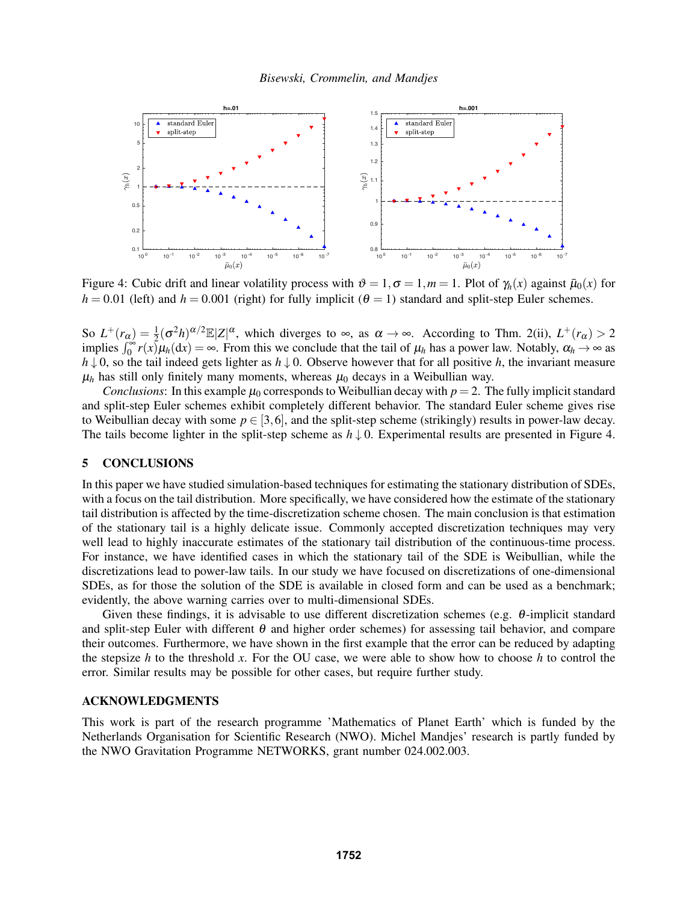

Figure 4: Cubic drift and linear volatility process with  $\vartheta = 1, \sigma = 1, m = 1$ . Plot of  $\gamma_h(x)$  against  $\bar{\mu}_0(x)$  for  $h = 0.01$  (left) and  $h = 0.001$  (right) for fully implicit ( $\theta = 1$ ) standard and split-step Euler schemes.

So  $L^+(r_\alpha) = \frac{1}{2} (\sigma^2 h)^{\alpha/2} \mathbb{E}|Z|^\alpha$ , which diverges to  $\infty$ , as  $\alpha \to \infty$ . According to Thm. 2(ii),  $L^+(r_\alpha) > 2$ implies  $\int_0^{\infty} r(x) \mu_h(dx) = \infty$ . From this we conclude that the tail of  $\mu_h$  has a power law. Notably,  $\alpha_h \to \infty$  as *h* ↓ 0, so the tail indeed gets lighter as *h* ↓ 0. Observe however that for all positive *h*, the invariant measure  $\mu_h$  has still only finitely many moments, whereas  $\mu_0$  decays in a Weibullian way.

*Conclusions*: In this example  $\mu_0$  corresponds to Weibullian decay with  $p = 2$ . The fully implicit standard and split-step Euler schemes exhibit completely different behavior. The standard Euler scheme gives rise to Weibullian decay with some  $p \in [3,6]$ , and the split-step scheme (strikingly) results in power-law decay. The tails become lighter in the split-step scheme as  $h \downarrow 0$ . Experimental results are presented in Figure 4.

### 5 CONCLUSIONS

In this paper we have studied simulation-based techniques for estimating the stationary distribution of SDEs, with a focus on the tail distribution. More specifically, we have considered how the estimate of the stationary tail distribution is affected by the time-discretization scheme chosen. The main conclusion is that estimation of the stationary tail is a highly delicate issue. Commonly accepted discretization techniques may very well lead to highly inaccurate estimates of the stationary tail distribution of the continuous-time process. For instance, we have identified cases in which the stationary tail of the SDE is Weibullian, while the discretizations lead to power-law tails. In our study we have focused on discretizations of one-dimensional SDEs, as for those the solution of the SDE is available in closed form and can be used as a benchmark; evidently, the above warning carries over to multi-dimensional SDEs.

Given these findings, it is advisable to use different discretization schemes (e.g. θ-implicit standard and split-step Euler with different  $\theta$  and higher order schemes) for assessing tail behavior, and compare their outcomes. Furthermore, we have shown in the first example that the error can be reduced by adapting the stepsize *h* to the threshold *x*. For the OU case, we were able to show how to choose *h* to control the error. Similar results may be possible for other cases, but require further study.

### ACKNOWLEDGMENTS

This work is part of the research programme 'Mathematics of Planet Earth' which is funded by the Netherlands Organisation for Scientific Research (NWO). Michel Mandjes' research is partly funded by the NWO Gravitation Programme NETWORKS, grant number 024.002.003.